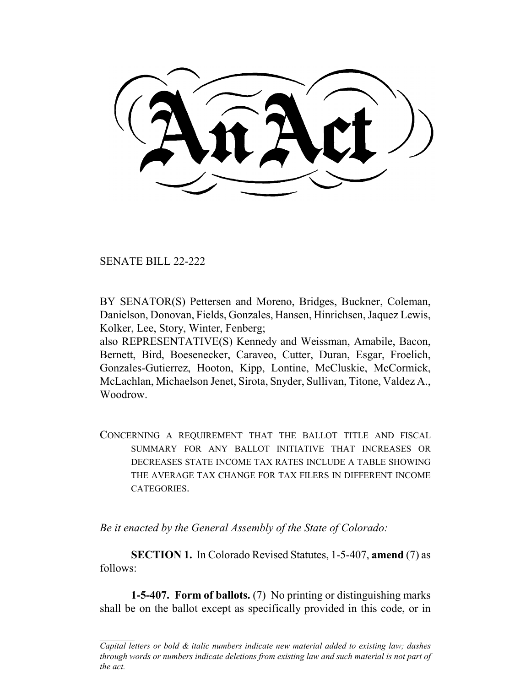SENATE BILL 22-222

BY SENATOR(S) Pettersen and Moreno, Bridges, Buckner, Coleman, Danielson, Donovan, Fields, Gonzales, Hansen, Hinrichsen, Jaquez Lewis, Kolker, Lee, Story, Winter, Fenberg;

also REPRESENTATIVE(S) Kennedy and Weissman, Amabile, Bacon, Bernett, Bird, Boesenecker, Caraveo, Cutter, Duran, Esgar, Froelich, Gonzales-Gutierrez, Hooton, Kipp, Lontine, McCluskie, McCormick, McLachlan, Michaelson Jenet, Sirota, Snyder, Sullivan, Titone, Valdez A., Woodrow.

CONCERNING A REQUIREMENT THAT THE BALLOT TITLE AND FISCAL SUMMARY FOR ANY BALLOT INITIATIVE THAT INCREASES OR DECREASES STATE INCOME TAX RATES INCLUDE A TABLE SHOWING THE AVERAGE TAX CHANGE FOR TAX FILERS IN DIFFERENT INCOME CATEGORIES.

*Be it enacted by the General Assembly of the State of Colorado:*

**SECTION 1.** In Colorado Revised Statutes, 1-5-407, **amend** (7) as follows:

**1-5-407. Form of ballots.** (7) No printing or distinguishing marks shall be on the ballot except as specifically provided in this code, or in

*Capital letters or bold & italic numbers indicate new material added to existing law; dashes through words or numbers indicate deletions from existing law and such material is not part of the act.*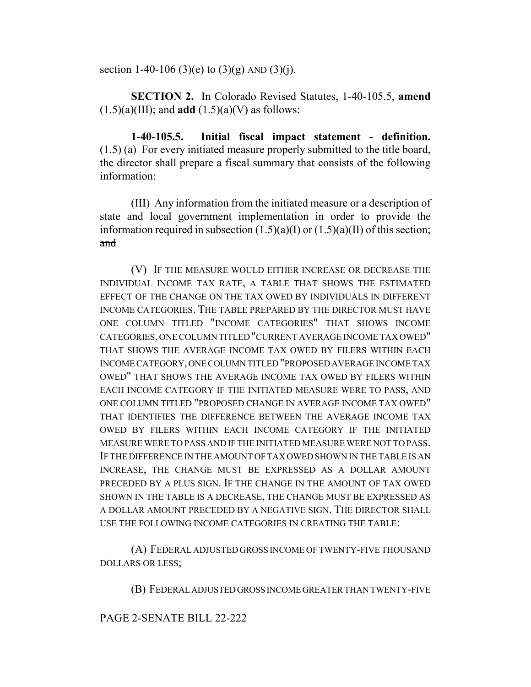section 1-40-106 (3)(e) to (3)(g) AND (3)(j).

**SECTION 2.** In Colorado Revised Statutes, 1-40-105.5, **amend**  $(1.5)(a)(III)$ ; and **add**  $(1.5)(a)(V)$  as follows:

**1-40-105.5. Initial fiscal impact statement - definition.** (1.5) (a) For every initiated measure properly submitted to the title board, the director shall prepare a fiscal summary that consists of the following information:

(III) Any information from the initiated measure or a description of state and local government implementation in order to provide the information required in subsection  $(1.5)(a)(I)$  or  $(1.5)(a)(II)$  of this section; and

(V) IF THE MEASURE WOULD EITHER INCREASE OR DECREASE THE INDIVIDUAL INCOME TAX RATE, A TABLE THAT SHOWS THE ESTIMATED EFFECT OF THE CHANGE ON THE TAX OWED BY INDIVIDUALS IN DIFFERENT INCOME CATEGORIES. THE TABLE PREPARED BY THE DIRECTOR MUST HAVE ONE COLUMN TITLED "INCOME CATEGORIES" THAT SHOWS INCOME CATEGORIES, ONE COLUMN TITLED "CURRENT AVERAGE INCOME TAX OWED" THAT SHOWS THE AVERAGE INCOME TAX OWED BY FILERS WITHIN EACH INCOME CATEGORY, ONE COLUMN TITLED "PROPOSED AVERAGE INCOME TAX OWED" THAT SHOWS THE AVERAGE INCOME TAX OWED BY FILERS WITHIN EACH INCOME CATEGORY IF THE INITIATED MEASURE WERE TO PASS, AND ONE COLUMN TITLED "PROPOSED CHANGE IN AVERAGE INCOME TAX OWED" THAT IDENTIFIES THE DIFFERENCE BETWEEN THE AVERAGE INCOME TAX OWED BY FILERS WITHIN EACH INCOME CATEGORY IF THE INITIATED MEASURE WERE TO PASS AND IF THE INITIATED MEASURE WERE NOT TO PASS. IF THE DIFFERENCE IN THE AMOUNT OF TAX OWED SHOWN IN THE TABLE IS AN INCREASE, THE CHANGE MUST BE EXPRESSED AS A DOLLAR AMOUNT PRECEDED BY A PLUS SIGN. IF THE CHANGE IN THE AMOUNT OF TAX OWED SHOWN IN THE TABLE IS A DECREASE, THE CHANGE MUST BE EXPRESSED AS A DOLLAR AMOUNT PRECEDED BY A NEGATIVE SIGN. THE DIRECTOR SHALL USE THE FOLLOWING INCOME CATEGORIES IN CREATING THE TABLE:

(A) FEDERAL ADJUSTED GROSS INCOME OF TWENTY-FIVE THOUSAND DOLLARS OR LESS;

(B) FEDERAL ADJUSTED GROSS INCOME GREATER THAN TWENTY-FIVE

## PAGE 2-SENATE BILL 22-222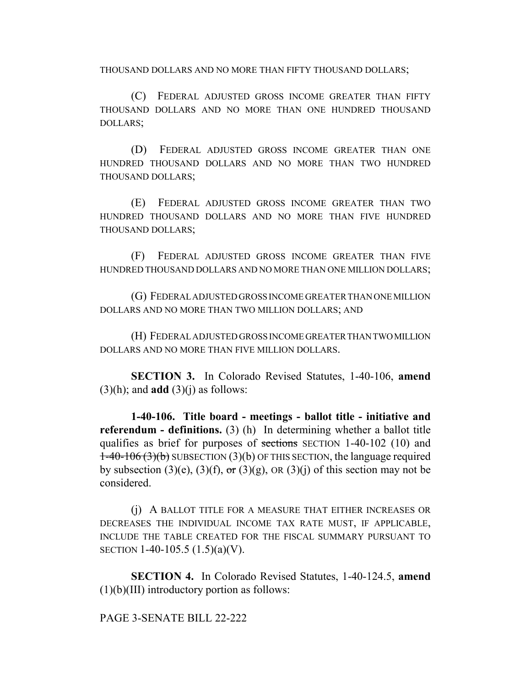THOUSAND DOLLARS AND NO MORE THAN FIFTY THOUSAND DOLLARS;

(C) FEDERAL ADJUSTED GROSS INCOME GREATER THAN FIFTY THOUSAND DOLLARS AND NO MORE THAN ONE HUNDRED THOUSAND DOLLARS;

(D) FEDERAL ADJUSTED GROSS INCOME GREATER THAN ONE HUNDRED THOUSAND DOLLARS AND NO MORE THAN TWO HUNDRED THOUSAND DOLLARS;

(E) FEDERAL ADJUSTED GROSS INCOME GREATER THAN TWO HUNDRED THOUSAND DOLLARS AND NO MORE THAN FIVE HUNDRED THOUSAND DOLLARS;

(F) FEDERAL ADJUSTED GROSS INCOME GREATER THAN FIVE HUNDRED THOUSAND DOLLARS AND NO MORE THAN ONE MILLION DOLLARS;

(G) FEDERAL ADJUSTED GROSS INCOME GREATER THAN ONE MILLION DOLLARS AND NO MORE THAN TWO MILLION DOLLARS; AND

(H) FEDERAL ADJUSTED GROSS INCOME GREATER THAN TWO MILLION DOLLARS AND NO MORE THAN FIVE MILLION DOLLARS.

**SECTION 3.** In Colorado Revised Statutes, 1-40-106, **amend**  $(3)(h)$ ; and **add**  $(3)(j)$  as follows:

**1-40-106. Title board - meetings - ballot title - initiative and referendum - definitions.** (3) (h) In determining whether a ballot title qualifies as brief for purposes of sections SECTION 1-40-102 (10) and  $1-40-106(3)(b)$  SUBSECTION (3)(b) OF THIS SECTION, the language required by subsection (3)(e), (3)(f),  $\sigma$  (3)(g), OR (3)(j) of this section may not be considered.

(j) A BALLOT TITLE FOR A MEASURE THAT EITHER INCREASES OR DECREASES THE INDIVIDUAL INCOME TAX RATE MUST, IF APPLICABLE, INCLUDE THE TABLE CREATED FOR THE FISCAL SUMMARY PURSUANT TO SECTION 1-40-105.5 (1.5)(a)(V).

**SECTION 4.** In Colorado Revised Statutes, 1-40-124.5, **amend** (1)(b)(III) introductory portion as follows:

PAGE 3-SENATE BILL 22-222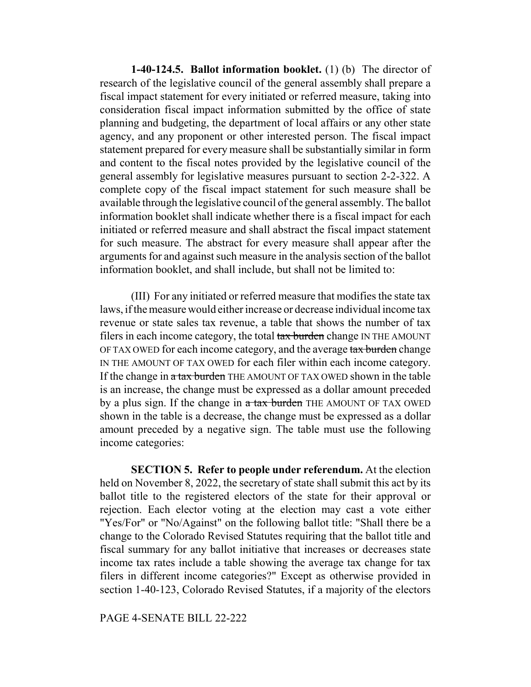**1-40-124.5. Ballot information booklet.** (1) (b) The director of research of the legislative council of the general assembly shall prepare a fiscal impact statement for every initiated or referred measure, taking into consideration fiscal impact information submitted by the office of state planning and budgeting, the department of local affairs or any other state agency, and any proponent or other interested person. The fiscal impact statement prepared for every measure shall be substantially similar in form and content to the fiscal notes provided by the legislative council of the general assembly for legislative measures pursuant to section 2-2-322. A complete copy of the fiscal impact statement for such measure shall be available through the legislative council of the general assembly. The ballot information booklet shall indicate whether there is a fiscal impact for each initiated or referred measure and shall abstract the fiscal impact statement for such measure. The abstract for every measure shall appear after the arguments for and against such measure in the analysis section of the ballot information booklet, and shall include, but shall not be limited to:

(III) For any initiated or referred measure that modifies the state tax laws, if the measure would either increase or decrease individual income tax revenue or state sales tax revenue, a table that shows the number of tax filers in each income category, the total tax burden change IN THE AMOUNT OF TAX OWED for each income category, and the average tax burden change IN THE AMOUNT OF TAX OWED for each filer within each income category. If the change in a tax burden THE AMOUNT OF TAX OWED shown in the table is an increase, the change must be expressed as a dollar amount preceded by a plus sign. If the change in a tax burden THE AMOUNT OF TAX OWED shown in the table is a decrease, the change must be expressed as a dollar amount preceded by a negative sign. The table must use the following income categories:

**SECTION 5. Refer to people under referendum.** At the election held on November 8, 2022, the secretary of state shall submit this act by its ballot title to the registered electors of the state for their approval or rejection. Each elector voting at the election may cast a vote either "Yes/For" or "No/Against" on the following ballot title: "Shall there be a change to the Colorado Revised Statutes requiring that the ballot title and fiscal summary for any ballot initiative that increases or decreases state income tax rates include a table showing the average tax change for tax filers in different income categories?" Except as otherwise provided in section 1-40-123, Colorado Revised Statutes, if a majority of the electors

## PAGE 4-SENATE BILL 22-222